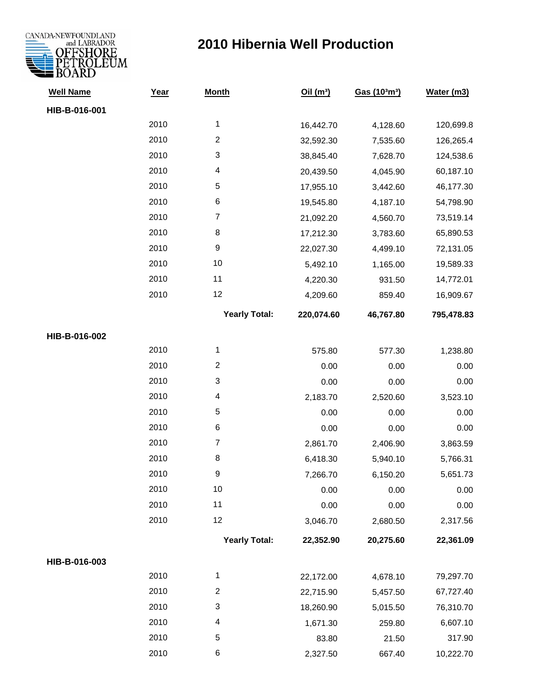

| <b>Well Name</b> | Year | <b>Month</b>         | Oil $(m^3)$ | Gas (103m3) | Water (m3) |
|------------------|------|----------------------|-------------|-------------|------------|
| HIB-B-016-001    |      |                      |             |             |            |
|                  | 2010 | 1                    | 16,442.70   | 4,128.60    | 120,699.8  |
|                  | 2010 | $\boldsymbol{2}$     | 32,592.30   | 7,535.60    | 126,265.4  |
|                  | 2010 | 3                    | 38,845.40   | 7,628.70    | 124,538.6  |
|                  | 2010 | 4                    | 20,439.50   | 4,045.90    | 60,187.10  |
|                  | 2010 | $\mathbf 5$          | 17,955.10   | 3,442.60    | 46,177.30  |
|                  | 2010 | $\,6$                | 19,545.80   | 4,187.10    | 54,798.90  |
|                  | 2010 | $\boldsymbol{7}$     | 21,092.20   | 4,560.70    | 73,519.14  |
|                  | 2010 | 8                    | 17,212.30   | 3,783.60    | 65,890.53  |
|                  | 2010 | $\boldsymbol{9}$     | 22,027.30   | 4,499.10    | 72,131.05  |
|                  | 2010 | 10                   | 5,492.10    | 1,165.00    | 19,589.33  |
|                  | 2010 | 11                   | 4,220.30    | 931.50      | 14,772.01  |
|                  | 2010 | 12                   | 4,209.60    | 859.40      | 16,909.67  |
|                  |      | <b>Yearly Total:</b> | 220,074.60  | 46,767.80   | 795,478.83 |
| HIB-B-016-002    |      |                      |             |             |            |
|                  | 2010 | 1                    | 575.80      | 577.30      | 1,238.80   |
|                  | 2010 | $\overline{c}$       | 0.00        | 0.00        | 0.00       |
|                  | 2010 | 3                    | 0.00        | 0.00        | 0.00       |
|                  | 2010 | 4                    | 2,183.70    | 2,520.60    | 3,523.10   |
|                  | 2010 | $\mathbf 5$          | 0.00        | 0.00        | 0.00       |
|                  | 2010 | $\,6$                | 0.00        | 0.00        | 0.00       |
|                  | 2010 | $\boldsymbol{7}$     | 2,861.70    | 2,406.90    | 3,863.59   |
|                  | 2010 | $\bf 8$              | 6,418.30    | 5,940.10    | 5,766.31   |
|                  | 2010 | 9                    | 7,266.70    | 6,150.20    | 5,651.73   |
|                  | 2010 | 10                   | 0.00        | 0.00        | 0.00       |
|                  | 2010 | 11                   | 0.00        | 0.00        | 0.00       |
|                  | 2010 | 12                   | 3,046.70    | 2,680.50    | 2,317.56   |
|                  |      | <b>Yearly Total:</b> | 22,352.90   | 20,275.60   | 22,361.09  |
| HIB-B-016-003    |      |                      |             |             |            |
|                  | 2010 | 1                    | 22,172.00   | 4,678.10    | 79,297.70  |
|                  | 2010 | $\overline{c}$       | 22,715.90   | 5,457.50    | 67,727.40  |
|                  | 2010 | 3                    | 18,260.90   | 5,015.50    | 76,310.70  |
|                  | 2010 | 4                    | 1,671.30    | 259.80      | 6,607.10   |
|                  | 2010 | 5                    | 83.80       | 21.50       | 317.90     |
|                  | 2010 | 6                    | 2,327.50    | 667.40      | 10,222.70  |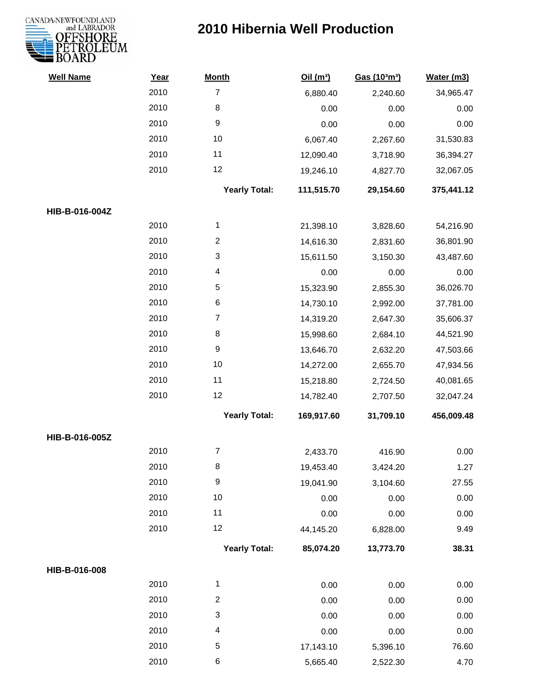

| <b>Well Name</b> | Year | <b>Month</b>         | Oil(m <sup>3</sup> ) | Gas (103m3) | Water (m3) |
|------------------|------|----------------------|----------------------|-------------|------------|
|                  | 2010 | $\overline{7}$       | 6,880.40             | 2,240.60    | 34,965.47  |
|                  | 2010 | 8                    | 0.00                 | 0.00        | 0.00       |
|                  | 2010 | $\boldsymbol{9}$     | 0.00                 | 0.00        | 0.00       |
|                  | 2010 | 10                   | 6,067.40             | 2,267.60    | 31,530.83  |
|                  | 2010 | 11                   | 12,090.40            | 3,718.90    | 36,394.27  |
|                  | 2010 | 12                   | 19,246.10            | 4,827.70    | 32,067.05  |
|                  |      | <b>Yearly Total:</b> | 111,515.70           | 29,154.60   | 375,441.12 |
| HIB-B-016-004Z   |      |                      |                      |             |            |
|                  | 2010 | 1                    | 21,398.10            | 3,828.60    | 54,216.90  |
|                  | 2010 | $\overline{c}$       | 14,616.30            | 2,831.60    | 36,801.90  |
|                  | 2010 | 3                    | 15,611.50            | 3,150.30    | 43,487.60  |
|                  | 2010 | 4                    | 0.00                 | 0.00        | 0.00       |
|                  | 2010 | 5                    | 15,323.90            | 2,855.30    | 36,026.70  |
|                  | 2010 | 6                    | 14,730.10            | 2,992.00    | 37,781.00  |
|                  | 2010 | $\boldsymbol{7}$     | 14,319.20            | 2,647.30    | 35,606.37  |
|                  | 2010 | 8                    | 15,998.60            | 2,684.10    | 44,521.90  |
|                  | 2010 | $\boldsymbol{9}$     | 13,646.70            | 2,632.20    | 47,503.66  |
|                  | 2010 | 10                   | 14,272.00            | 2,655.70    | 47,934.56  |
|                  | 2010 | 11                   | 15,218.80            | 2,724.50    | 40,081.65  |
|                  | 2010 | 12                   | 14,782.40            | 2,707.50    | 32,047.24  |
|                  |      | <b>Yearly Total:</b> | 169,917.60           | 31,709.10   | 456,009.48 |
| HIB-B-016-005Z   |      |                      |                      |             |            |
|                  | 2010 | $\overline{7}$       | 2,433.70             | 416.90      | 0.00       |
|                  | 2010 | 8                    | 19,453.40            | 3,424.20    | 1.27       |
|                  | 2010 | 9                    | 19,041.90            | 3,104.60    | 27.55      |
|                  | 2010 | 10                   | 0.00                 | 0.00        | 0.00       |
|                  | 2010 | 11                   | 0.00                 | 0.00        | 0.00       |
|                  | 2010 | 12                   | 44,145.20            | 6,828.00    | 9.49       |
|                  |      | <b>Yearly Total:</b> | 85,074.20            | 13,773.70   | 38.31      |
| HIB-B-016-008    |      |                      |                      |             |            |
|                  | 2010 | $\mathbf{1}$         | 0.00                 | 0.00        | 0.00       |
|                  | 2010 | $\boldsymbol{2}$     | 0.00                 | 0.00        | 0.00       |
|                  | 2010 | 3                    | 0.00                 | 0.00        | 0.00       |
|                  | 2010 | 4                    | 0.00                 | 0.00        | 0.00       |
|                  | 2010 | 5                    | 17,143.10            | 5,396.10    | 76.60      |
|                  | 2010 | $\,6$                | 5,665.40             | 2,522.30    | 4.70       |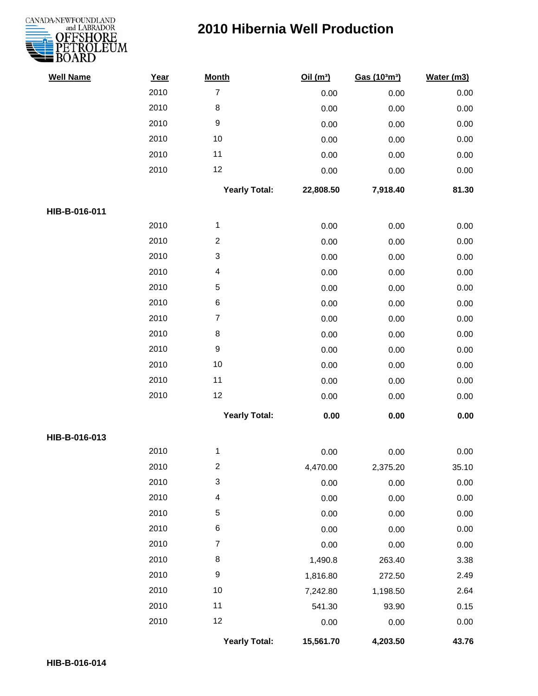



| <b>Well Name</b> | Year | <b>Month</b>         | Oil $(m^3)$ | Gas (103m3) | Water (m3) |
|------------------|------|----------------------|-------------|-------------|------------|
|                  | 2010 | $\overline{7}$       | 0.00        | 0.00        | 0.00       |
|                  | 2010 | $\bf 8$              | 0.00        | 0.00        | 0.00       |
|                  | 2010 | 9                    | 0.00        | 0.00        | 0.00       |
|                  | 2010 | 10                   | 0.00        | 0.00        | 0.00       |
|                  | 2010 | 11                   | 0.00        | 0.00        | 0.00       |
|                  | 2010 | 12                   | 0.00        | 0.00        | 0.00       |
|                  |      | <b>Yearly Total:</b> | 22,808.50   | 7,918.40    | 81.30      |
| HIB-B-016-011    |      |                      |             |             |            |
|                  | 2010 | $\mathbf{1}$         | 0.00        | 0.00        | 0.00       |
|                  | 2010 | $\overline{2}$       | 0.00        | 0.00        | 0.00       |
|                  | 2010 | 3                    | 0.00        | 0.00        | 0.00       |
|                  | 2010 | 4                    | 0.00        | 0.00        | 0.00       |
|                  | 2010 | 5                    | 0.00        | 0.00        | 0.00       |
|                  | 2010 | $\,6\,$              | 0.00        | 0.00        | 0.00       |
|                  | 2010 | $\overline{7}$       | 0.00        | 0.00        | 0.00       |
|                  | 2010 | $\bf 8$              | 0.00        | 0.00        | 0.00       |
|                  | 2010 | $\boldsymbol{9}$     | 0.00        | 0.00        | 0.00       |
|                  | 2010 | 10                   | 0.00        | 0.00        | 0.00       |
|                  | 2010 | 11                   | 0.00        | 0.00        | 0.00       |
|                  | 2010 | 12                   | 0.00        | 0.00        | 0.00       |
|                  |      | <b>Yearly Total:</b> | 0.00        | 0.00        | 0.00       |
| HIB-B-016-013    |      |                      |             |             |            |
|                  | 2010 | 1                    | 0.00        | 0.00        | 0.00       |
|                  | 2010 | 2                    | 4,470.00    | 2,375.20    | 35.10      |
|                  | 2010 | 3                    | 0.00        | 0.00        | 0.00       |
|                  | 2010 | 4                    | 0.00        | 0.00        | 0.00       |
|                  | 2010 | 5                    | 0.00        | 0.00        | 0.00       |
|                  | 2010 | 6                    | 0.00        | 0.00        | $0.00\,$   |
|                  | 2010 | $\overline{7}$       | 0.00        | 0.00        | 0.00       |
|                  | 2010 | 8                    | 1,490.8     | 263.40      | 3.38       |
|                  | 2010 | 9                    | 1,816.80    | 272.50      | 2.49       |
|                  | 2010 | 10                   | 7,242.80    | 1,198.50    | 2.64       |
|                  | 2010 | 11                   | 541.30      | 93.90       | 0.15       |
|                  | 2010 | 12                   | 0.00        | 0.00        | 0.00       |
|                  |      | <b>Yearly Total:</b> | 15,561.70   | 4,203.50    | 43.76      |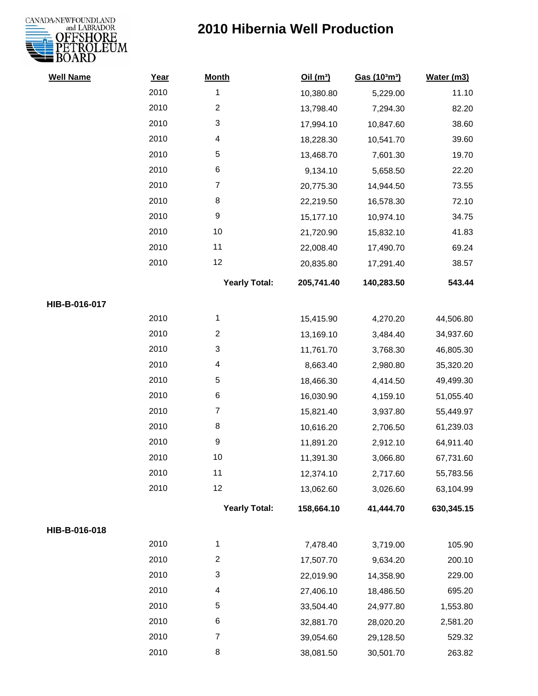

| <b>Well Name</b> | Year | <b>Month</b>         | Oil(m <sup>3</sup> ) | Gas (103m3) | Water (m3) |
|------------------|------|----------------------|----------------------|-------------|------------|
|                  | 2010 | 1                    | 10,380.80            | 5,229.00    | 11.10      |
|                  | 2010 | $\overline{2}$       | 13,798.40            | 7,294.30    | 82.20      |
|                  | 2010 | 3                    | 17,994.10            | 10,847.60   | 38.60      |
|                  | 2010 | 4                    | 18,228.30            | 10,541.70   | 39.60      |
|                  | 2010 | $\sqrt{5}$           | 13,468.70            | 7,601.30    | 19.70      |
|                  | 2010 | 6                    | 9,134.10             | 5,658.50    | 22.20      |
|                  | 2010 | $\overline{7}$       | 20,775.30            | 14,944.50   | 73.55      |
|                  | 2010 | 8                    | 22,219.50            | 16,578.30   | 72.10      |
|                  | 2010 | $\boldsymbol{9}$     | 15,177.10            | 10,974.10   | 34.75      |
|                  | 2010 | 10                   | 21,720.90            | 15,832.10   | 41.83      |
|                  | 2010 | 11                   | 22,008.40            | 17,490.70   | 69.24      |
|                  | 2010 | 12                   | 20,835.80            | 17,291.40   | 38.57      |
|                  |      | <b>Yearly Total:</b> | 205,741.40           | 140,283.50  | 543.44     |
| HIB-B-016-017    |      |                      |                      |             |            |
|                  | 2010 | 1                    | 15,415.90            | 4,270.20    | 44,506.80  |
|                  | 2010 | $\overline{c}$       | 13,169.10            | 3,484.40    | 34,937.60  |
|                  | 2010 | 3                    | 11,761.70            | 3,768.30    | 46,805.30  |
|                  | 2010 | 4                    | 8,663.40             | 2,980.80    | 35,320.20  |
|                  | 2010 | 5                    | 18,466.30            | 4,414.50    | 49,499.30  |
|                  | 2010 | 6                    | 16,030.90            | 4,159.10    | 51,055.40  |
|                  | 2010 | $\overline{7}$       | 15,821.40            | 3,937.80    | 55,449.97  |
|                  | 2010 | $\,8\,$              | 10,616.20            | 2,706.50    | 61,239.03  |
|                  | 2010 | $\boldsymbol{9}$     | 11,891.20            | 2,912.10    | 64,911.40  |
|                  | 2010 | 10                   | 11,391.30            | 3,066.80    | 67,731.60  |
|                  | 2010 | 11                   | 12,374.10            | 2,717.60    | 55,783.56  |
|                  | 2010 | 12                   | 13,062.60            | 3,026.60    | 63,104.99  |
|                  |      | <b>Yearly Total:</b> | 158,664.10           | 41,444.70   | 630,345.15 |
| HIB-B-016-018    |      |                      |                      |             |            |
|                  | 2010 | 1                    | 7,478.40             | 3,719.00    | 105.90     |
|                  | 2010 | $\boldsymbol{2}$     | 17,507.70            | 9,634.20    | 200.10     |
|                  | 2010 | 3                    | 22,019.90            | 14,358.90   | 229.00     |
|                  | 2010 | 4                    | 27,406.10            | 18,486.50   | 695.20     |
|                  | 2010 | $\sqrt{5}$           | 33,504.40            | 24,977.80   | 1,553.80   |
|                  | 2010 | 6                    | 32,881.70            | 28,020.20   | 2,581.20   |
|                  | 2010 | $\overline{7}$       | 39,054.60            | 29,128.50   | 529.32     |
|                  | 2010 | 8                    | 38,081.50            | 30,501.70   | 263.82     |
|                  |      |                      |                      |             |            |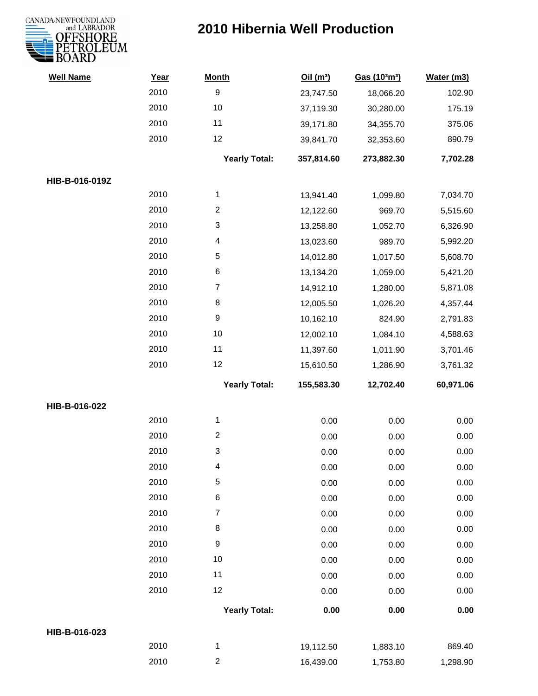

| <b>Well Name</b> | Year | <b>Month</b>         | Oil(m <sup>3</sup> ) | Gas (103m3) | Water (m3) |
|------------------|------|----------------------|----------------------|-------------|------------|
|                  | 2010 | $\boldsymbol{9}$     | 23,747.50            | 18,066.20   | 102.90     |
|                  | 2010 | 10                   | 37,119.30            | 30,280.00   | 175.19     |
|                  | 2010 | 11                   | 39,171.80            | 34,355.70   | 375.06     |
|                  | 2010 | 12                   | 39,841.70            | 32,353.60   | 890.79     |
|                  |      | <b>Yearly Total:</b> | 357,814.60           | 273,882.30  | 7,702.28   |
| HIB-B-016-019Z   |      |                      |                      |             |            |
|                  | 2010 | 1                    | 13,941.40            | 1,099.80    | 7,034.70   |
|                  | 2010 | $\overline{2}$       | 12,122.60            | 969.70      | 5,515.60   |
|                  | 2010 | 3                    | 13,258.80            | 1,052.70    | 6,326.90   |
|                  | 2010 | 4                    | 13,023.60            | 989.70      | 5,992.20   |
|                  | 2010 | $\sqrt{5}$           | 14,012.80            | 1,017.50    | 5,608.70   |
|                  | 2010 | 6                    | 13,134.20            | 1,059.00    | 5,421.20   |
|                  | 2010 | $\overline{7}$       | 14,912.10            | 1,280.00    | 5,871.08   |
|                  | 2010 | 8                    | 12,005.50            | 1,026.20    | 4,357.44   |
|                  | 2010 | $\boldsymbol{9}$     | 10,162.10            | 824.90      | 2,791.83   |
|                  | 2010 | $10$                 | 12,002.10            | 1,084.10    | 4,588.63   |
|                  | 2010 | 11                   | 11,397.60            | 1,011.90    | 3,701.46   |
|                  | 2010 | 12                   | 15,610.50            | 1,286.90    | 3,761.32   |
|                  |      | <b>Yearly Total:</b> | 155,583.30           | 12,702.40   | 60,971.06  |
| HIB-B-016-022    |      |                      |                      |             |            |
|                  | 2010 | 1                    | 0.00                 | 0.00        | 0.00       |
|                  | 2010 | $\overline{c}$       | 0.00                 | 0.00        | 0.00       |
|                  | 2010 | 3                    | 0.00                 | 0.00        | 0.00       |
|                  | 2010 | 4                    | 0.00                 | 0.00        | 0.00       |
|                  | 2010 | 5                    | 0.00                 | 0.00        | 0.00       |
|                  | 2010 | $\,6$                | 0.00                 | 0.00        | 0.00       |
|                  | 2010 | $\overline{7}$       | 0.00                 | 0.00        | 0.00       |
|                  | 2010 | 8                    | 0.00                 | 0.00        | 0.00       |
|                  | 2010 | $\boldsymbol{9}$     | 0.00                 | 0.00        | 0.00       |
|                  | 2010 | 10                   | 0.00                 | 0.00        | 0.00       |
|                  | 2010 | 11                   | 0.00                 | 0.00        | 0.00       |
|                  | 2010 | 12                   | 0.00                 | 0.00        | 0.00       |
|                  |      | <b>Yearly Total:</b> | 0.00                 | 0.00        | 0.00       |
| HIB-B-016-023    |      |                      |                      |             |            |
|                  | 2010 | $\mathbf{1}$         | 19,112.50            | 1,883.10    | 869.40     |
|                  | 2010 | $\overline{c}$       | 16,439.00            | 1,753.80    | 1,298.90   |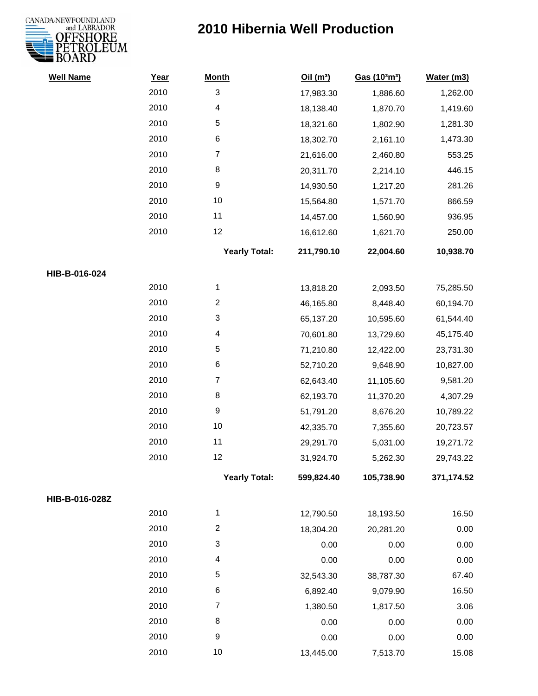

| <b>Well Name</b> | Year | <b>Month</b>            | Oil(m <sup>3</sup> ) | Gas (103m3) | Water (m3) |
|------------------|------|-------------------------|----------------------|-------------|------------|
|                  | 2010 | 3                       | 17,983.30            | 1,886.60    | 1,262.00   |
|                  | 2010 | 4                       | 18,138.40            | 1,870.70    | 1,419.60   |
|                  | 2010 | 5                       | 18,321.60            | 1,802.90    | 1,281.30   |
|                  | 2010 | $\,6$                   | 18,302.70            | 2,161.10    | 1,473.30   |
|                  | 2010 | $\boldsymbol{7}$        | 21,616.00            | 2,460.80    | 553.25     |
|                  | 2010 | 8                       | 20,311.70            | 2,214.10    | 446.15     |
|                  | 2010 | $\boldsymbol{9}$        | 14,930.50            | 1,217.20    | 281.26     |
|                  | 2010 | 10                      | 15,564.80            | 1,571.70    | 866.59     |
|                  | 2010 | 11                      | 14,457.00            | 1,560.90    | 936.95     |
|                  | 2010 | 12                      | 16,612.60            | 1,621.70    | 250.00     |
|                  |      | <b>Yearly Total:</b>    | 211,790.10           | 22,004.60   | 10,938.70  |
| HIB-B-016-024    |      |                         |                      |             |            |
|                  | 2010 | $\mathbf{1}$            | 13,818.20            | 2,093.50    | 75,285.50  |
|                  | 2010 | $\overline{\mathbf{c}}$ | 46,165.80            | 8,448.40    | 60,194.70  |
|                  | 2010 | 3                       | 65,137.20            | 10,595.60   | 61,544.40  |
|                  | 2010 | 4                       | 70,601.80            | 13,729.60   | 45,175.40  |
|                  | 2010 | $\,$ 5 $\,$             | 71,210.80            | 12,422.00   | 23,731.30  |
|                  | 2010 | 6                       | 52,710.20            | 9,648.90    | 10,827.00  |
|                  | 2010 | $\boldsymbol{7}$        | 62,643.40            | 11,105.60   | 9,581.20   |
|                  | 2010 | 8                       | 62,193.70            | 11,370.20   | 4,307.29   |
|                  | 2010 | 9                       | 51,791.20            | 8,676.20    | 10,789.22  |
|                  | 2010 | $10$                    | 42,335.70            | 7,355.60    | 20,723.57  |
|                  | 2010 | 11                      | 29,291.70            | 5,031.00    | 19,271.72  |
|                  | 2010 | 12                      | 31,924.70            | 5,262.30    | 29,743.22  |
|                  |      | <b>Yearly Total:</b>    | 599,824.40           | 105,738.90  | 371,174.52 |
| HIB-B-016-028Z   |      |                         |                      |             |            |
|                  | 2010 | $\mathbf{1}$            | 12,790.50            | 18,193.50   | 16.50      |
|                  | 2010 | $\overline{c}$          | 18,304.20            | 20,281.20   | 0.00       |
|                  | 2010 | 3                       | 0.00                 | 0.00        | 0.00       |
|                  | 2010 | 4                       | 0.00                 | 0.00        | 0.00       |
|                  | 2010 | 5                       | 32,543.30            | 38,787.30   | 67.40      |
|                  | 2010 | 6                       | 6,892.40             | 9,079.90    | 16.50      |
|                  | 2010 | $\overline{7}$          | 1,380.50             | 1,817.50    | 3.06       |
|                  | 2010 | 8                       | 0.00                 | 0.00        | 0.00       |
|                  | 2010 | $\boldsymbol{9}$        | 0.00                 | 0.00        | 0.00       |
|                  | 2010 | 10                      | 13,445.00            | 7,513.70    | 15.08      |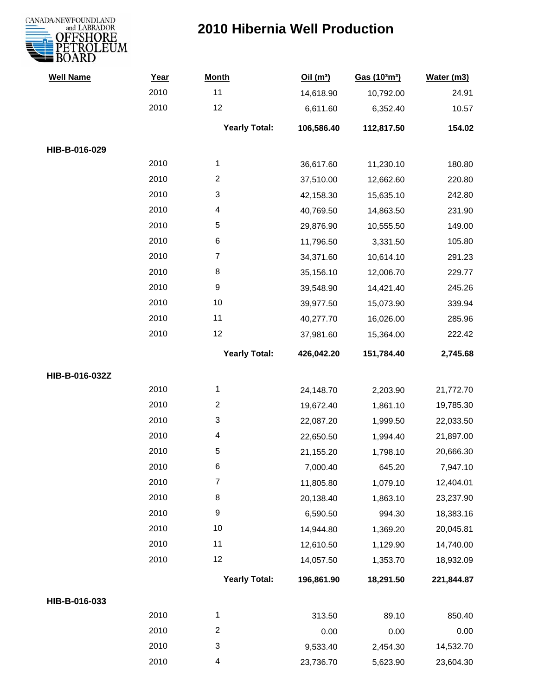

| <b>Well Name</b> | Year | <b>Month</b>         | Oil(m <sup>3</sup> ) | Gas (103m3) | Water (m3) |
|------------------|------|----------------------|----------------------|-------------|------------|
|                  | 2010 | 11                   | 14,618.90            | 10,792.00   | 24.91      |
|                  | 2010 | 12                   | 6,611.60             | 6,352.40    | 10.57      |
|                  |      | <b>Yearly Total:</b> | 106,586.40           | 112,817.50  | 154.02     |
| HIB-B-016-029    |      |                      |                      |             |            |
|                  | 2010 | $\mathbf{1}$         | 36,617.60            | 11,230.10   | 180.80     |
|                  | 2010 | $\overline{c}$       | 37,510.00            | 12,662.60   | 220.80     |
|                  | 2010 | 3                    | 42,158.30            | 15,635.10   | 242.80     |
|                  | 2010 | 4                    | 40,769.50            | 14,863.50   | 231.90     |
|                  | 2010 | 5                    | 29,876.90            | 10,555.50   | 149.00     |
|                  | 2010 | 6                    | 11,796.50            | 3,331.50    | 105.80     |
|                  | 2010 | $\overline{7}$       | 34,371.60            | 10,614.10   | 291.23     |
|                  | 2010 | 8                    | 35,156.10            | 12,006.70   | 229.77     |
|                  | 2010 | 9                    | 39,548.90            | 14,421.40   | 245.26     |
|                  | 2010 | 10                   | 39,977.50            | 15,073.90   | 339.94     |
|                  | 2010 | 11                   | 40,277.70            | 16,026.00   | 285.96     |
|                  | 2010 | 12                   | 37,981.60            | 15,364.00   | 222.42     |
|                  |      | <b>Yearly Total:</b> | 426,042.20           | 151,784.40  | 2,745.68   |
| HIB-B-016-032Z   |      |                      |                      |             |            |
|                  | 2010 | 1                    | 24,148.70            | 2,203.90    | 21,772.70  |
|                  | 2010 | $\overline{2}$       | 19,672.40            | 1,861.10    | 19,785.30  |
|                  | 2010 | 3                    | 22,087.20            | 1,999.50    | 22,033.50  |
|                  | 2010 | 4                    | 22,650.50            | 1,994.40    | 21,897.00  |
|                  | 2010 | 5                    | 21,155.20            | 1,798.10    | 20,666.30  |
|                  | 2010 | 6                    | 7,000.40             | 645.20      | 7,947.10   |
|                  | 2010 | $\overline{7}$       | 11,805.80            | 1,079.10    | 12,404.01  |
|                  | 2010 | 8                    | 20,138.40            | 1,863.10    | 23,237.90  |
|                  | 2010 | 9                    | 6,590.50             | 994.30      | 18,383.16  |
|                  | 2010 | 10                   | 14,944.80            | 1,369.20    | 20,045.81  |
|                  | 2010 | 11                   | 12,610.50            | 1,129.90    | 14,740.00  |
|                  | 2010 | 12                   | 14,057.50            | 1,353.70    | 18,932.09  |
|                  |      | <b>Yearly Total:</b> | 196,861.90           | 18,291.50   | 221,844.87 |
| HIB-B-016-033    |      |                      |                      |             |            |
|                  | 2010 | 1                    | 313.50               | 89.10       | 850.40     |
|                  | 2010 | $\overline{c}$       | 0.00                 | 0.00        | 0.00       |
|                  | 2010 | 3                    | 9,533.40             | 2,454.30    | 14,532.70  |
|                  | 2010 | 4                    | 23,736.70            | 5,623.90    | 23,604.30  |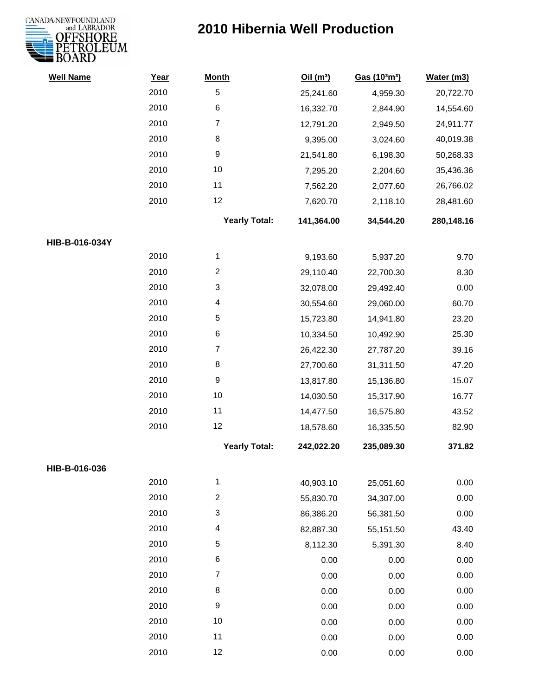

| <b>Well Name</b> | Year | <b>Month</b>         | Oil(m <sup>3</sup> ) | Gas (103m3) | Water (m3) |
|------------------|------|----------------------|----------------------|-------------|------------|
|                  | 2010 | $\sqrt{5}$           | 25,241.60            | 4,959.30    | 20,722.70  |
|                  | 2010 | 6                    | 16,332.70            | 2,844.90    | 14,554.60  |
|                  | 2010 | $\overline{7}$       | 12,791.20            | 2,949.50    | 24,911.77  |
|                  | 2010 | $\,8\,$              | 9,395.00             | 3,024.60    | 40,019.38  |
|                  | 2010 | $\boldsymbol{9}$     | 21,541.80            | 6,198.30    | 50,268.33  |
|                  | 2010 | 10                   | 7,295.20             | 2,204.60    | 35,436.36  |
|                  | 2010 | 11                   | 7,562.20             | 2,077.60    | 26,766.02  |
|                  | 2010 | 12                   | 7,620.70             | 2,118.10    | 28,481.60  |
|                  |      | <b>Yearly Total:</b> | 141,364.00           | 34,544.20   | 280,148.16 |
| HIB-B-016-034Y   |      |                      |                      |             |            |
|                  | 2010 | 1                    | 9,193.60             | 5,937.20    | 9.70       |
|                  | 2010 | $\boldsymbol{2}$     | 29,110.40            | 22,700.30   | 8.30       |
|                  | 2010 | 3                    | 32,078.00            | 29,492.40   | 0.00       |
|                  | 2010 | 4                    | 30,554.60            | 29,060.00   | 60.70      |
|                  | 2010 | $\mathbf 5$          | 15,723.80            | 14,941.80   | 23.20      |
|                  | 2010 | $\,6$                | 10,334.50            | 10,492.90   | 25.30      |
|                  | 2010 | $\boldsymbol{7}$     | 26,422.30            | 27,787.20   | 39.16      |
|                  | 2010 | 8                    | 27,700.60            | 31,311.50   | 47.20      |
|                  | 2010 | $\boldsymbol{9}$     | 13,817.80            | 15,136.80   | 15.07      |
|                  | 2010 | 10                   | 14,030.50            | 15,317.90   | 16.77      |
|                  | 2010 | 11                   | 14,477.50            | 16,575.80   | 43.52      |
|                  | 2010 | 12                   | 18,578.60            | 16,335.50   | 82.90      |
|                  |      | <b>Yearly Total:</b> | 242,022.20           | 235,089.30  | 371.82     |
| HIB-B-016-036    |      |                      |                      |             |            |
|                  | 2010 | 1                    | 40,903.10            | 25,051.60   | 0.00       |
|                  | 2010 | $\overline{2}$       | 55,830.70            | 34,307.00   | 0.00       |
|                  | 2010 | 3                    | 86,386.20            | 56,381.50   | 0.00       |
|                  | 2010 | 4                    | 82,887.30            | 55,151.50   | 43.40      |
|                  | 2010 | $\mathbf 5$          | 8,112.30             | 5,391.30    | 8.40       |
|                  | 2010 | $\,6$                | 0.00                 | 0.00        | 0.00       |
|                  | 2010 | $\boldsymbol{7}$     | 0.00                 | 0.00        | 0.00       |
|                  | 2010 | 8                    | 0.00                 | 0.00        | 0.00       |
|                  | 2010 | $\boldsymbol{9}$     | 0.00                 | 0.00        | 0.00       |
|                  | 2010 | 10                   | 0.00                 | 0.00        | 0.00       |
|                  | 2010 | 11                   | 0.00                 | 0.00        | 0.00       |
|                  | 2010 | 12                   | 0.00                 | 0.00        | 0.00       |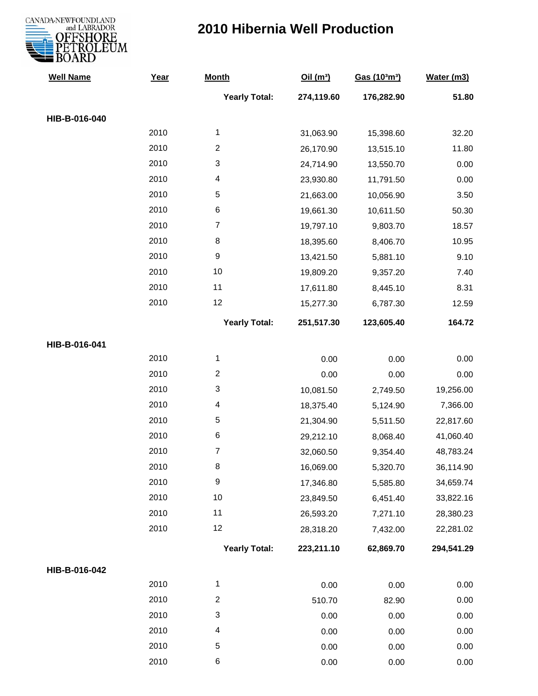

| <b>Well Name</b> | Year | <b>Month</b>         | Oil(m <sup>3</sup> ) | Gas (103m3) | Water (m3) |
|------------------|------|----------------------|----------------------|-------------|------------|
|                  |      | <b>Yearly Total:</b> | 274,119.60           | 176,282.90  | 51.80      |
| HIB-B-016-040    |      |                      |                      |             |            |
|                  | 2010 | $\mathbf{1}$         | 31,063.90            | 15,398.60   | 32.20      |
|                  | 2010 | $\overline{c}$       | 26,170.90            | 13,515.10   | 11.80      |
|                  | 2010 | 3                    | 24,714.90            | 13,550.70   | 0.00       |
|                  | 2010 | 4                    | 23,930.80            | 11,791.50   | 0.00       |
|                  | 2010 | 5                    | 21,663.00            | 10,056.90   | 3.50       |
|                  | 2010 | 6                    | 19,661.30            | 10,611.50   | 50.30      |
|                  | 2010 | $\overline{7}$       | 19,797.10            | 9,803.70    | 18.57      |
|                  | 2010 | 8                    | 18,395.60            | 8,406.70    | 10.95      |
|                  | 2010 | $\boldsymbol{9}$     | 13,421.50            | 5,881.10    | 9.10       |
|                  | 2010 | 10                   | 19,809.20            | 9,357.20    | 7.40       |
|                  | 2010 | 11                   | 17,611.80            | 8,445.10    | 8.31       |
|                  | 2010 | 12                   | 15,277.30            | 6,787.30    | 12.59      |
|                  |      | <b>Yearly Total:</b> | 251,517.30           | 123,605.40  | 164.72     |
| HIB-B-016-041    |      |                      |                      |             |            |
|                  | 2010 | $\mathbf{1}$         | 0.00                 | 0.00        | 0.00       |
|                  | 2010 | $\overline{c}$       | 0.00                 | 0.00        | 0.00       |
|                  | 2010 | 3                    | 10,081.50            | 2,749.50    | 19,256.00  |
|                  | 2010 | 4                    | 18,375.40            | 5,124.90    | 7,366.00   |
|                  | 2010 | 5                    | 21,304.90            | 5,511.50    | 22,817.60  |
|                  | 2010 | 6                    | 29,212.10            | 8,068.40    | 41,060.40  |
|                  | 2010 | $\overline{7}$       | 32,060.50            | 9,354.40    | 48,783.24  |
|                  | 2010 | 8                    | 16,069.00            | 5,320.70    | 36,114.90  |
|                  | 2010 | $\boldsymbol{9}$     | 17,346.80            | 5,585.80    | 34,659.74  |
|                  | 2010 | 10                   | 23,849.50            | 6,451.40    | 33,822.16  |
|                  | 2010 | 11                   | 26,593.20            | 7,271.10    | 28,380.23  |
|                  | 2010 | 12                   | 28,318.20            | 7,432.00    | 22,281.02  |
|                  |      | <b>Yearly Total:</b> | 223,211.10           | 62,869.70   | 294,541.29 |
| HIB-B-016-042    |      |                      |                      |             |            |
|                  | 2010 | $\mathbf{1}$         | 0.00                 | 0.00        | 0.00       |
|                  | 2010 | $\overline{c}$       | 510.70               | 82.90       | 0.00       |
|                  | 2010 | 3                    | 0.00                 | 0.00        | 0.00       |
|                  | 2010 | 4                    | 0.00                 | 0.00        | 0.00       |
|                  | 2010 | 5                    | 0.00                 | 0.00        | 0.00       |
|                  | 2010 | 6                    | 0.00                 | 0.00        | 0.00       |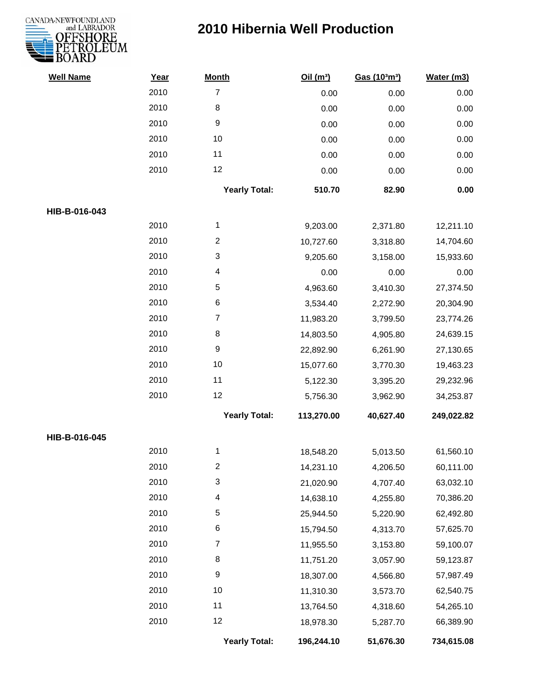

| <b>Well Name</b> | Year | <b>Month</b>         | Oil $(m^3)$ | Gas (103m3) | Water (m3) |
|------------------|------|----------------------|-------------|-------------|------------|
|                  | 2010 | $\overline{7}$       | 0.00        | 0.00        | 0.00       |
|                  | 2010 | $\,8\,$              | 0.00        | 0.00        | 0.00       |
|                  | 2010 | $\boldsymbol{9}$     | 0.00        | 0.00        | 0.00       |
|                  | 2010 | 10                   | 0.00        | 0.00        | $0.00\,$   |
|                  | 2010 | 11                   | 0.00        | 0.00        | 0.00       |
|                  | 2010 | 12                   | 0.00        | 0.00        | 0.00       |
|                  |      | <b>Yearly Total:</b> | 510.70      | 82.90       | 0.00       |
| HIB-B-016-043    |      |                      |             |             |            |
|                  | 2010 | $\mathbf{1}$         | 9,203.00    | 2,371.80    | 12,211.10  |
|                  | 2010 | $\overline{2}$       | 10,727.60   | 3,318.80    | 14,704.60  |
|                  | 2010 | 3                    | 9,205.60    | 3,158.00    | 15,933.60  |
|                  | 2010 | 4                    | 0.00        | 0.00        | 0.00       |
|                  | 2010 | 5                    | 4,963.60    | 3,410.30    | 27,374.50  |
|                  | 2010 | 6                    | 3,534.40    | 2,272.90    | 20,304.90  |
|                  | 2010 | $\boldsymbol{7}$     | 11,983.20   | 3,799.50    | 23,774.26  |
|                  | 2010 | 8                    | 14,803.50   | 4,905.80    | 24,639.15  |
|                  | 2010 | $\boldsymbol{9}$     | 22,892.90   | 6,261.90    | 27,130.65  |
|                  | 2010 | 10                   | 15,077.60   | 3,770.30    | 19,463.23  |
|                  | 2010 | 11                   | 5,122.30    | 3,395.20    | 29,232.96  |
|                  | 2010 | 12                   | 5,756.30    | 3,962.90    | 34,253.87  |
|                  |      | <b>Yearly Total:</b> | 113,270.00  | 40,627.40   | 249,022.82 |
| HIB-B-016-045    |      |                      |             |             |            |
|                  | 2010 | 1                    | 18,548.20   | 5,013.50    | 61,560.10  |
|                  | 2010 | 2                    | 14,231.10   | 4,206.50    | 60,111.00  |
|                  | 2010 | 3                    | 21,020.90   | 4,707.40    | 63,032.10  |
|                  | 2010 | 4                    | 14,638.10   | 4,255.80    | 70,386.20  |
|                  | 2010 | 5                    | 25,944.50   | 5,220.90    | 62,492.80  |
|                  | 2010 | 6                    | 15,794.50   | 4,313.70    | 57,625.70  |
|                  | 2010 | $\overline{7}$       | 11,955.50   | 3,153.80    | 59,100.07  |
|                  | 2010 | 8                    | 11,751.20   | 3,057.90    | 59,123.87  |
|                  | 2010 | $\boldsymbol{9}$     | 18,307.00   | 4,566.80    | 57,987.49  |
|                  | 2010 | 10                   | 11,310.30   | 3,573.70    | 62,540.75  |
|                  | 2010 | 11                   | 13,764.50   | 4,318.60    | 54,265.10  |
|                  | 2010 | 12                   | 18,978.30   | 5,287.70    | 66,389.90  |
|                  |      | <b>Yearly Total:</b> | 196,244.10  | 51,676.30   | 734,615.08 |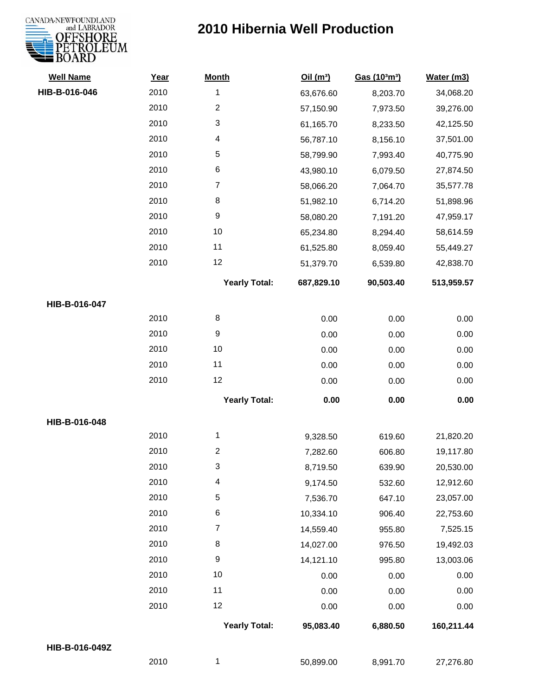# CANADA-NEWFOUNDLAND

| <b>Well Name</b> | Year | <b>Month</b>            | Oil(m <sup>3</sup> ) | Gas (103m3) | Water (m3) |
|------------------|------|-------------------------|----------------------|-------------|------------|
| HIB-B-016-046    | 2010 | 1                       | 63,676.60            | 8,203.70    | 34,068.20  |
|                  | 2010 | $\overline{c}$          | 57,150.90            | 7,973.50    | 39,276.00  |
|                  | 2010 | 3                       | 61,165.70            | 8,233.50    | 42,125.50  |
|                  | 2010 | 4                       | 56,787.10            | 8,156.10    | 37,501.00  |
|                  | 2010 | 5                       | 58,799.90            | 7,993.40    | 40,775.90  |
|                  | 2010 | 6                       | 43,980.10            | 6,079.50    | 27,874.50  |
|                  | 2010 | 7                       | 58,066.20            | 7,064.70    | 35,577.78  |
|                  | 2010 | 8                       | 51,982.10            | 6,714.20    | 51,898.96  |
|                  | 2010 | 9                       | 58,080.20            | 7,191.20    | 47,959.17  |
|                  | 2010 | $10$                    | 65,234.80            | 8,294.40    | 58,614.59  |
|                  | 2010 | 11                      | 61,525.80            | 8,059.40    | 55,449.27  |
|                  | 2010 | 12                      | 51,379.70            | 6,539.80    | 42,838.70  |
|                  |      | <b>Yearly Total:</b>    | 687,829.10           | 90,503.40   | 513,959.57 |
| HIB-B-016-047    |      |                         |                      |             |            |
|                  | 2010 | 8                       | 0.00                 | 0.00        | 0.00       |
|                  | 2010 | 9                       | 0.00                 | 0.00        | 0.00       |
|                  | 2010 | 10                      | 0.00                 | 0.00        | 0.00       |
|                  | 2010 | 11                      | 0.00                 | 0.00        | 0.00       |
|                  | 2010 | 12                      | 0.00                 | 0.00        | 0.00       |
|                  |      | <b>Yearly Total:</b>    | 0.00                 | 0.00        | 0.00       |
| HIB-B-016-048    |      |                         |                      |             |            |
|                  | 2010 | 1                       | 9,328.50             | 619.60      | 21,820.20  |
|                  | 2010 | $\overline{\mathbf{c}}$ | 7,282.60             | 606.80      | 19,117.80  |
|                  | 2010 | 3                       | 8,719.50             | 639.90      | 20,530.00  |
|                  | 2010 | 4                       | 9,174.50             | 532.60      | 12,912.60  |
|                  | 2010 | 5                       | 7,536.70             | 647.10      | 23,057.00  |
|                  | 2010 | 6                       | 10,334.10            | 906.40      | 22,753.60  |
|                  | 2010 | 7                       | 14,559.40            | 955.80      | 7,525.15   |
|                  | 2010 | 8                       | 14,027.00            | 976.50      | 19,492.03  |
|                  | 2010 | $\boldsymbol{9}$        | 14,121.10            | 995.80      | 13,003.06  |
|                  | 2010 | 10                      | 0.00                 | 0.00        | 0.00       |
|                  | 2010 | 11                      | 0.00                 | 0.00        | 0.00       |
|                  | 2010 | 12                      | 0.00                 | 0.00        | 0.00       |
|                  |      | <b>Yearly Total:</b>    | 95,083.40            | 6,880.50    | 160,211.44 |
| HIB-B-016-049Z   |      |                         |                      |             |            |
|                  | 2010 | 1                       | 50,899.00            | 8,991.70    | 27,276.80  |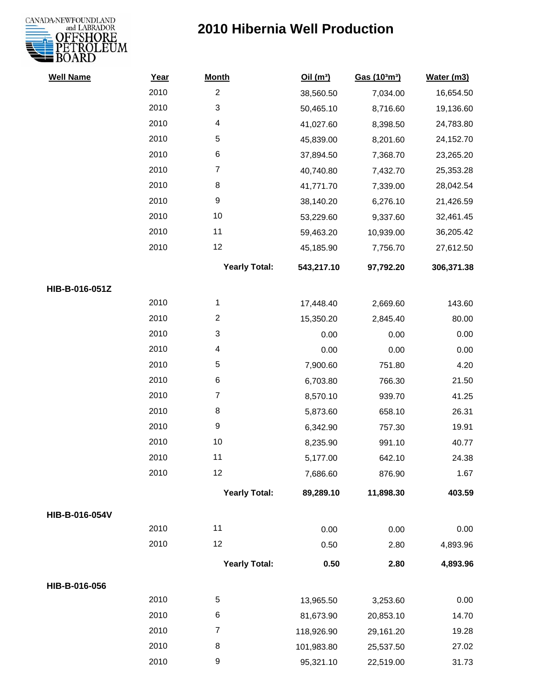

| <b>Well Name</b> | Year | <b>Month</b>         | Oil(m <sup>3</sup> ) | Gas (103m3) | Water (m3) |
|------------------|------|----------------------|----------------------|-------------|------------|
|                  | 2010 | $\mathbf{2}$         | 38,560.50            | 7,034.00    | 16,654.50  |
|                  | 2010 | 3                    | 50,465.10            | 8,716.60    | 19,136.60  |
|                  | 2010 | 4                    | 41,027.60            | 8,398.50    | 24,783.80  |
|                  | 2010 | $\mathbf 5$          | 45,839.00            | 8,201.60    | 24,152.70  |
|                  | 2010 | 6                    | 37,894.50            | 7,368.70    | 23,265.20  |
|                  | 2010 | $\boldsymbol{7}$     | 40,740.80            | 7,432.70    | 25,353.28  |
|                  | 2010 | 8                    | 41,771.70            | 7,339.00    | 28,042.54  |
|                  | 2010 | $\boldsymbol{9}$     | 38,140.20            | 6,276.10    | 21,426.59  |
|                  | 2010 | 10                   | 53,229.60            | 9,337.60    | 32,461.45  |
|                  | 2010 | 11                   | 59,463.20            | 10,939.00   | 36,205.42  |
|                  | 2010 | 12                   | 45,185.90            | 7,756.70    | 27,612.50  |
|                  |      | <b>Yearly Total:</b> | 543,217.10           | 97,792.20   | 306,371.38 |
| HIB-B-016-051Z   |      |                      |                      |             |            |
|                  | 2010 | 1                    | 17,448.40            | 2,669.60    | 143.60     |
|                  | 2010 | $\overline{2}$       | 15,350.20            | 2,845.40    | 80.00      |
|                  | 2010 | 3                    | 0.00                 | 0.00        | 0.00       |
|                  | 2010 | 4                    | 0.00                 | 0.00        | 0.00       |
|                  | 2010 | $\mathbf 5$          | 7,900.60             | 751.80      | 4.20       |
|                  | 2010 | $\,6$                | 6,703.80             | 766.30      | 21.50      |
|                  | 2010 | $\boldsymbol{7}$     | 8,570.10             | 939.70      | 41.25      |
|                  | 2010 | 8                    | 5,873.60             | 658.10      | 26.31      |
|                  | 2010 | $\boldsymbol{9}$     | 6,342.90             | 757.30      | 19.91      |
|                  | 2010 | 10                   | 8,235.90             | 991.10      | 40.77      |
|                  | 2010 | 11                   | 5,177.00             | 642.10      | 24.38      |
|                  | 2010 | 12                   | 7,686.60             | 876.90      | 1.67       |
|                  |      | <b>Yearly Total:</b> | 89,289.10            | 11,898.30   | 403.59     |
| HIB-B-016-054V   |      |                      |                      |             |            |
|                  | 2010 | 11                   | 0.00                 | 0.00        | 0.00       |
|                  | 2010 | 12                   | 0.50                 | 2.80        | 4,893.96   |
|                  |      | <b>Yearly Total:</b> | 0.50                 | 2.80        | 4,893.96   |
| HIB-B-016-056    |      |                      |                      |             |            |
|                  | 2010 | $\sqrt{5}$           | 13,965.50            | 3,253.60    | 0.00       |
|                  | 2010 | 6                    | 81,673.90            | 20,853.10   | 14.70      |
|                  | 2010 | $\overline{7}$       | 118,926.90           | 29,161.20   | 19.28      |
|                  | 2010 | 8                    | 101,983.80           | 25,537.50   | 27.02      |
|                  | 2010 | 9                    | 95,321.10            | 22,519.00   | 31.73      |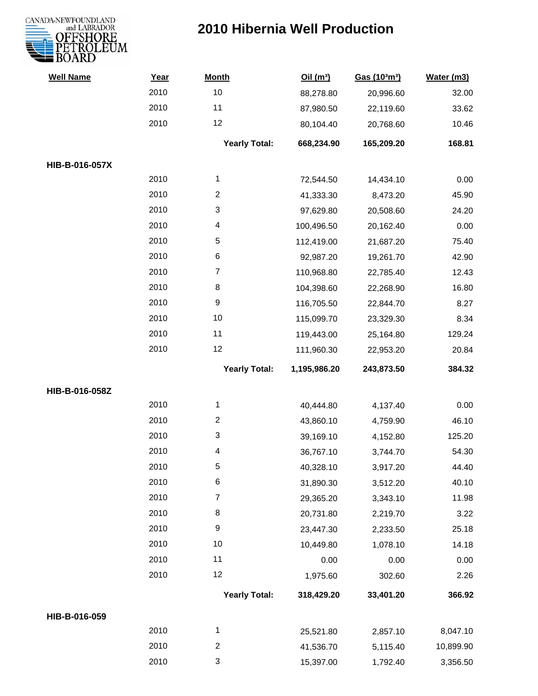

| <b>Well Name</b> | Year | <b>Month</b>         | Oil(m <sup>3</sup> ) | Gas (103m3) | Water (m3) |
|------------------|------|----------------------|----------------------|-------------|------------|
|                  | 2010 | 10                   | 88,278.80            | 20,996.60   | 32.00      |
|                  | 2010 | 11                   | 87,980.50            | 22,119.60   | 33.62      |
|                  | 2010 | 12                   | 80,104.40            | 20,768.60   | 10.46      |
|                  |      | <b>Yearly Total:</b> | 668,234.90           | 165,209.20  | 168.81     |
| HIB-B-016-057X   |      |                      |                      |             |            |
|                  | 2010 | $\mathbf{1}$         | 72,544.50            | 14,434.10   | 0.00       |
|                  | 2010 | $\overline{c}$       | 41,333.30            | 8,473.20    | 45.90      |
|                  | 2010 | 3                    | 97,629.80            | 20,508.60   | 24.20      |
|                  | 2010 | 4                    | 100,496.50           | 20,162.40   | 0.00       |
|                  | 2010 | 5                    | 112,419.00           | 21,687.20   | 75.40      |
|                  | 2010 | 6                    | 92,987.20            | 19,261.70   | 42.90      |
|                  | 2010 | $\boldsymbol{7}$     | 110,968.80           | 22,785.40   | 12.43      |
|                  | 2010 | 8                    | 104,398.60           | 22,268.90   | 16.80      |
|                  | 2010 | 9                    | 116,705.50           | 22,844.70   | 8.27       |
|                  | 2010 | $10$                 | 115,099.70           | 23,329.30   | 8.34       |
|                  | 2010 | 11                   | 119,443.00           | 25,164.80   | 129.24     |
|                  | 2010 | 12                   | 111,960.30           | 22,953.20   | 20.84      |
|                  |      | <b>Yearly Total:</b> | 1,195,986.20         | 243,873.50  | 384.32     |
| HIB-B-016-058Z   |      |                      |                      |             |            |
|                  | 2010 | 1                    | 40,444.80            | 4,137.40    | 0.00       |
|                  | 2010 | $\overline{c}$       | 43,860.10            | 4,759.90    | 46.10      |
|                  | 2010 | 3                    | 39,169.10            | 4,152.80    | 125.20     |
|                  | 2010 | 4                    | 36,767.10            | 3,744.70    | 54.30      |
|                  | 2010 | 5                    | 40,328.10            | 3,917.20    | 44.40      |
|                  | 2010 | 6                    | 31,890.30            | 3,512.20    | 40.10      |
|                  | 2010 | $\boldsymbol{7}$     | 29,365.20            | 3,343.10    | 11.98      |
|                  | 2010 | $\bf 8$              | 20,731.80            | 2,219.70    | 3.22       |
|                  | 2010 | 9                    | 23,447.30            | 2,233.50    | 25.18      |
|                  | 2010 | 10                   | 10,449.80            | 1,078.10    | 14.18      |
|                  | 2010 | 11                   | 0.00                 | 0.00        | 0.00       |
|                  | 2010 | 12                   | 1,975.60             | 302.60      | 2.26       |
|                  |      | <b>Yearly Total:</b> | 318,429.20           | 33,401.20   | 366.92     |
| HIB-B-016-059    |      |                      |                      |             |            |
|                  | 2010 | $\mathbf{1}$         | 25,521.80            | 2,857.10    | 8,047.10   |
|                  | 2010 | $\overline{c}$       | 41,536.70            | 5,115.40    | 10,899.90  |
|                  | 2010 | 3                    | 15,397.00            | 1,792.40    | 3,356.50   |